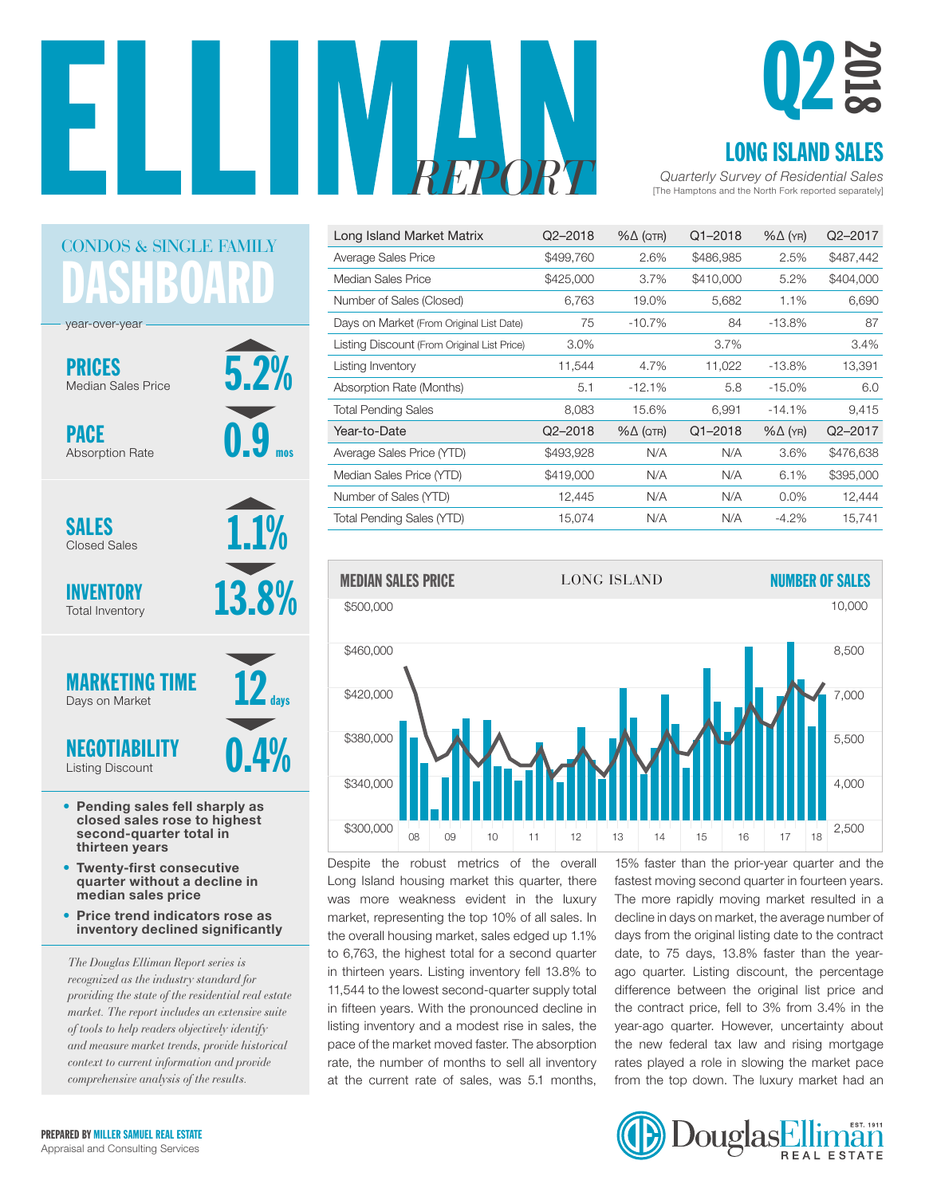

5.2%

0.9

mos

1.1%

13.8%

0.4%

12

days

# Q2 2018

#### LONG ISLAND SALES

[The Hamptons and the North Fork reported separately] *REPORT Quarterly Survey of Residential Sales*

| Long Island Market Matrix                   | $Q2 - 2018$ | $% \triangle (QTR)$ | $Q1 - 2018$ | $% \triangle (YR)$ | Q2-2017   |
|---------------------------------------------|-------------|---------------------|-------------|--------------------|-----------|
| Average Sales Price                         | \$499,760   | 2.6%                | \$486,985   | 2.5%               | \$487,442 |
| Median Sales Price                          | \$425,000   | 3.7%                | \$410,000   | 5.2%               | \$404,000 |
| Number of Sales (Closed)                    | 6.763       | 19.0%               | 5,682       | 1.1%               | 6,690     |
| Days on Market (From Original List Date)    | 75          | $-10.7%$            | 84          | $-13.8%$           | 87        |
| Listing Discount (From Original List Price) | $3.0\%$     |                     | 3.7%        |                    | 3.4%      |
| Listing Inventory                           | 11,544      | 4.7%                | 11,022      | $-13.8%$           | 13,391    |
| Absorption Rate (Months)                    | 5.1         | $-12.1%$            | 5.8         | $-15.0%$           | 6.0       |
| <b>Total Pending Sales</b>                  | 8,083       | 15.6%               | 6,991       | $-14.1%$           | 9,415     |
| Year-to-Date                                | $Q2 - 2018$ | $% \triangle (QTR)$ | $Q1 - 2018$ | $% \triangle (YR)$ | Q2-2017   |
| Average Sales Price (YTD)                   | \$493,928   | N/A                 | N/A         | 3.6%               | \$476,638 |
| Median Sales Price (YTD)                    | \$419,000   | N/A                 | N/A         | 6.1%               | \$395,000 |
| Number of Sales (YTD)                       | 12,445      | N/A                 | N/A         | $0.0\%$            | 12,444    |
| Total Pending Sales (YTD)                   | 15,074      | N/A                 | N/A         | $-4.2\%$           | 15,741    |
|                                             |             |                     |             |                    |           |



Despite the robust metrics of the overall Long Island housing market this quarter, there was more weakness evident in the luxury market, representing the top 10% of all sales. In market, representing the reprieted on all calcer in the decline in adjectmented, the are aggression is the contra<br>the overall housing market, sales edged up 1.1% days from the original listing date to the contra to 6,763, the highest total for a second quarter in thirteen years. Listing inventory fell 13.8% to 11,544 to the lowest second-quarter supply total in fifteen years. With the pronounced decline in listing inventory and a modest rise in sales, the pace of the market moved faster. The absorption rate, the number of months to sell all inventory at the current rate of sales, was 5.1 months,

15% faster than the prior-year quarter and the fastest moving second quarter in fourteen years. The more rapidly moving market resulted in a decline in days on market, the average number of days from the original listing date to the contract date, to 75 days, 13.8% faster than the yearago quarter. Listing discount, the percentage difference between the original list price and the contract price, fell to  $3\%$  from  $3.4\%$  in the year-ago quarter. However, uncertainty about the new federal tax law and rising mortgage ber of months to sell all inventory rates played a role in slowing the market pace from the top down. The luxury market had an



**SHBOAR** CONDOS & SINGLE FAMILY year-over-year

PRICES Median Sales Price

PACE Absorption Rate

SALES Closed Sales

INVENTORY Total Inventory

MARKETING TIME Days on Market

NEGOTIABILITY Listing Discount

- Pending sales fell sharply as closed sales rose to highest second-quarter total in thirteen years
- Twenty-first consecutive quarter without a decline in median sales price
- Price trend indicators rose as inventory declined significantly

*The Douglas Elliman Report series is recognized as the industry standard for providing the state of the residential real estate market. The report includes an extensive suite of tools to help readers objectively identify and measure market trends, provide historical context to current information and provide comprehensive analysis of the results.*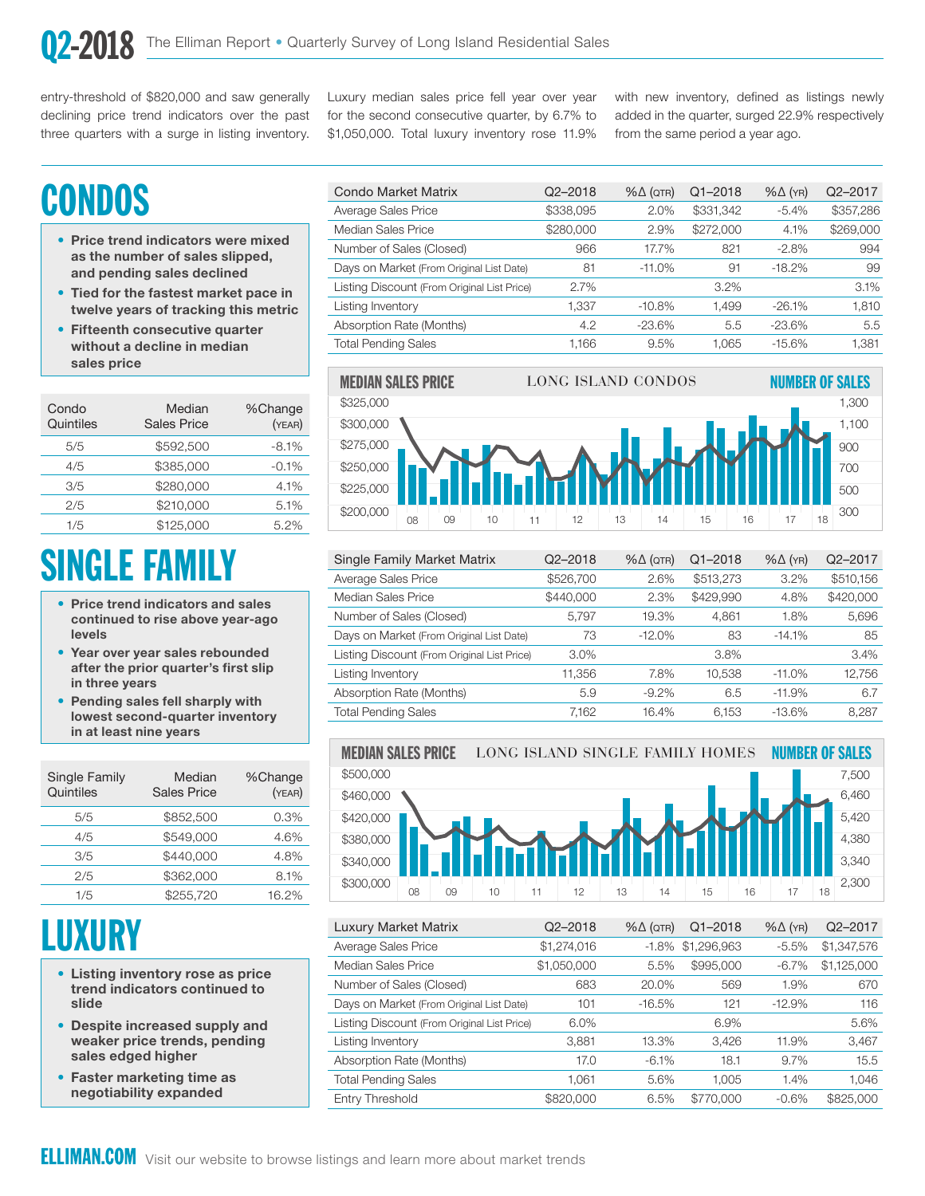entry-threshold of \$820,000 and saw generally declining price trend indicators over the past three quarters with a surge in listing inventory.

Luxury median sales price fell year over year for the second consecutive quarter, by 6.7% to \$1,050,000. Total luxury inventory rose 11.9%

with new inventory, defined as listings newly added in the quarter, surged 22.9% respectively from the same period a year ago.

10,000

# **CONDOS**

- Price trend indicators were mixed as the number of sales slipped, and pending sales declined
- Tied for the fastest market pace in twelve years of tracking this metric
- Fifteenth consecutive quarter without a decline in median sales price

| Condo<br>Quintiles | Median<br><b>Sales Price</b> | %Change<br>(YEAR) |
|--------------------|------------------------------|-------------------|
| 5/5                | \$592,500                    | $-8.1%$           |
| 4/5                | \$385,000                    | $-0.1%$           |
| 3/5                | \$280,000                    | 4.1%              |
| 2/5                | \$210,000                    | 5.1%              |
| 1/5                | \$125,000                    | 5.2%              |

# SINGLE FAMILY

- Price trend indicators and sales continued to rise above year-ago levels
- Year over year sales rebounded after the prior quarter's first slip in three years
- Pending sales fell sharply with lowest second-quarter inventory in at least nine years

| Single Family<br>Quintiles | Median<br><b>Sales Price</b> | %Change<br>(YEAR) |
|----------------------------|------------------------------|-------------------|
| 5/5                        | \$852,500                    | $0.3\%$           |
| 4/5                        | \$549,000                    | 4.6%              |
| 3/5                        | \$440,000                    | 4.8%              |
| 2/5                        | \$362,000                    | 8.1%              |
| 1/5                        | \$255.720                    | 16.2%             |

# **LUXURY**

- Listing inventory rose as price trend indicators continued to slide
- Despite increased supply and weaker price trends, pending sales edged higher
- Faster marketing time as negotiability expanded

| Q2-2018   | $% \triangle (QTR)$ | $Q1 - 2018$ | $% \triangle (YR)$ | Q2-2017   |
|-----------|---------------------|-------------|--------------------|-----------|
| \$338,095 | 2.0%                | \$331,342   | $-5.4%$            | \$357,286 |
| \$280,000 | 2.9%                | \$272,000   | 4.1%               | \$269,000 |
| 966       | 17.7%               | 821         | $-2.8%$            | 994       |
| 81        | $-11.0\%$           | 91          | $-18.2%$           | 99        |
| 2.7%      |                     | 3.2%        |                    | 3.1%      |
| 1.337     | $-10.8%$            | 1.499       | $-26.1%$           | 1,810     |
| 4.2       | $-23.6%$            | 5.5         | $-23.6%$           | 5.5       |
| 1.166     | 9.5%                | 1.065       | $-15.6%$           | 1,381     |
|           |                     |             |                    |           |



| Single Family Market Matrix                 | $Q2 - 2018$ | $% \triangle (QTR)$ | $Q1 - 2018$ | $% \triangle (YR)$ | Q <sub>2</sub> -2017 |
|---------------------------------------------|-------------|---------------------|-------------|--------------------|----------------------|
| Average Sales Price                         | \$526,700   | 2.6%                | \$513,273   | 3.2%               | \$510,156            |
| Median Sales Price                          | \$440,000   | 2.3%                | \$429,990   | 4.8%               | \$420,000            |
| Number of Sales (Closed)                    | 5.797       | 19.3%               | 4.861       | 1.8%               | 5,696                |
| Days on Market (From Original List Date)    | 73          | $-12.0%$            | 83          | $-14.1%$           | 85                   |
| Listing Discount (From Original List Price) | $3.0\%$     |                     | $3.8\%$     |                    | 3.4%                 |
| Listing Inventory                           | 11,356      | 7.8%                | 10,538      | $-11.0\%$          | 12,756               |
| Absorption Rate (Months)                    | 5.9         | $-9.2\%$            | 6.5         | $-11.9%$           | 6.7                  |
| <b>Total Pending Sales</b>                  | 7,162       | 16.4%               | 6,153       | $-13.6\%$          | 8,287                |
|                                             |             |                     |             |                    |                      |



| Luxury Market Matrix                        | $Q2 - 2018$ | $% \triangle (QTR)$ | $Q1 - 2018$ | $% \triangle (YR)$ | Q2-2017     |
|---------------------------------------------|-------------|---------------------|-------------|--------------------|-------------|
| Average Sales Price                         | \$1,274,016 | $-1.8%$             | \$1,296,963 | $-5.5%$            | \$1,347,576 |
| Median Sales Price                          | \$1,050,000 | 5.5%                | \$995,000   | $-6.7\%$           | \$1,125,000 |
| Number of Sales (Closed)                    | 683         | 20.0%               | 569         | 1.9%               | 670         |
| Days on Market (From Original List Date)    | 101         | $-16.5%$            | 121         | $-12.9%$           | 116         |
| Listing Discount (From Original List Price) | 6.0%        |                     | 6.9%        |                    | 5.6%        |
| Listing Inventory                           | 3,881       | 13.3%               | 3,426       | 11.9%              | 3,467       |
| Absorption Rate (Months)                    | 17.0        | $-6.1%$             | 18.1        | 9.7%               | 15.5        |
| <b>Total Pending Sales</b>                  | 1,061       | 5.6%                | 1.005       | 1.4%               | 1,046       |
| <b>Entry Threshold</b>                      | \$820,000   | 6.5%                | \$770,000   | $-0.6%$            | \$825,000   |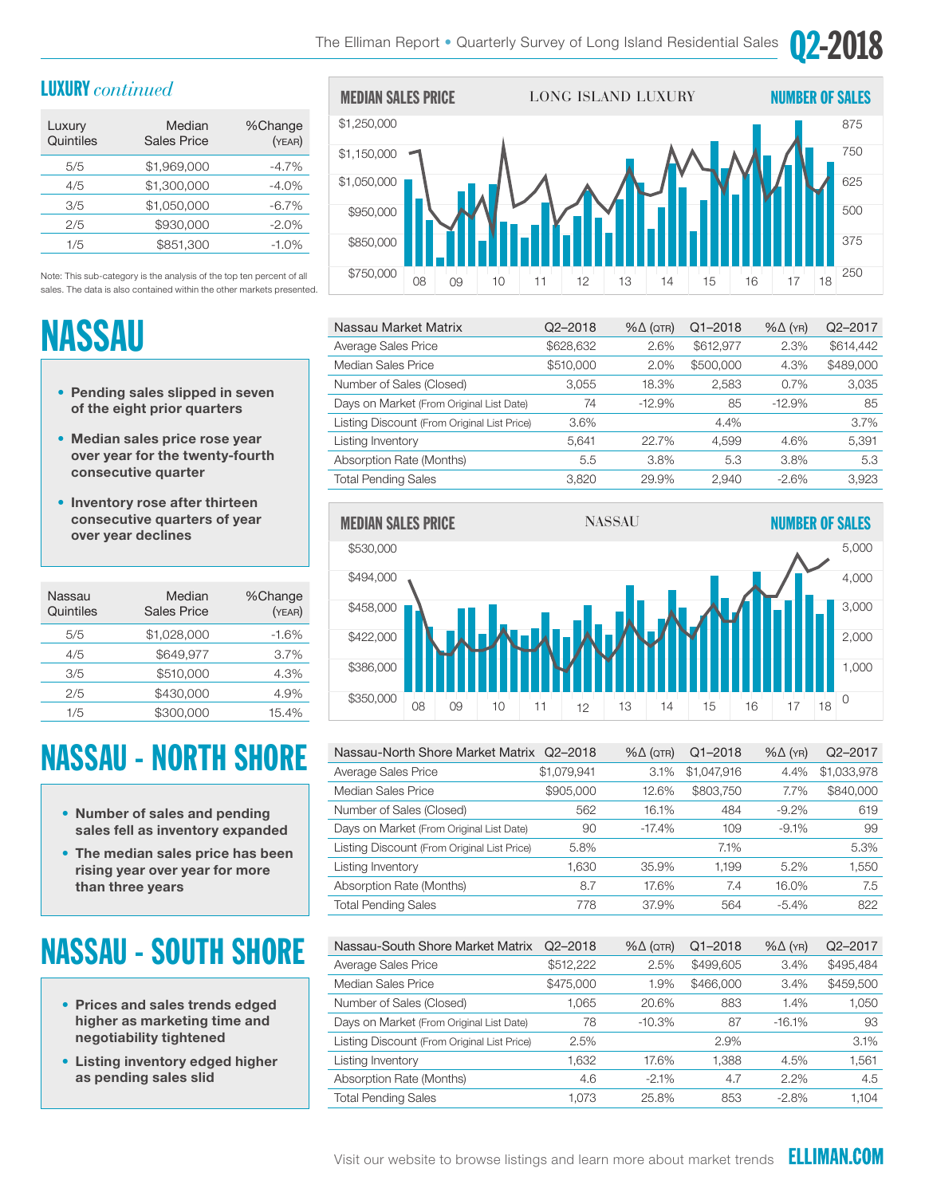#### LUXURY *continued*

| Luxury<br>Quintiles | Median<br><b>Sales Price</b> | %Change<br>(YEAR) |
|---------------------|------------------------------|-------------------|
| 5/5                 | \$1,969,000                  | $-4.7%$           |
| 4/5                 | \$1,300,000                  | $-4.0%$           |
| 3/5                 | \$1,050,000                  | $-6.7%$           |
| 2/5                 | \$930,000                    | $-2.0%$           |
| 1/5                 | \$851.300                    | $-1.0%$           |

Note: This sub-category is the analysis of the top ten percent of all sales. The data is also contained within the other markets presented.

# NASSAU

- Pending sales slipped in seven of the eight prior quarters
- Median sales price rose year over year for the twenty-fourth consecutive quarter
- Inventory rose after thirteen consecutive quarters of year over year declines

| Nassau<br>Quintiles | Median<br><b>Sales Price</b> | %Change<br>(YEAR) |
|---------------------|------------------------------|-------------------|
| 5/5                 | \$1,028,000                  | $-1.6%$           |
| 4/5                 | \$649.977                    | 3.7%              |
| 3/5                 | \$510,000                    | 4.3%              |
| 2/5                 | \$430,000                    | 4.9%              |
| 1/5                 | \$300,000                    | 15.4%             |

### NASSAU - NORTH SHORE

- Number of sales and pending sales fell as inventory expanded
- The median sales price has been rising year over year for more than three years

## NASSAU - SOUTH SHORE

- Prices and sales trends edged higher as marketing time and negotiability tightened
- Listing inventory edged higher as pending sales slid



5,420

| Nassau Market Matrix                        | $Q2 - 2018$ | $% \triangle (QTR)$ | $Q1 - 2018$ | $% \triangle (YR)$ | Q <sub>2</sub> -2017 |
|---------------------------------------------|-------------|---------------------|-------------|--------------------|----------------------|
| Average Sales Price                         | \$628,632   | 2.6%                | \$612,977   | 2.3%               | \$614,442            |
| Median Sales Price                          | \$510,000   | 2.0%                | \$500,000   | 4.3%               | \$489,000            |
| Number of Sales (Closed)                    | 3,055       | 18.3%               | 2,583       | 0.7%               | 3,035                |
| Days on Market (From Original List Date)    | 74          | $-12.9%$            | 85          | $-12.9%$           | 85                   |
| Listing Discount (From Original List Price) | 3.6%        |                     | 4.4%        |                    | 3.7%                 |
| Listing Inventory                           | 5,641       | 22.7%               | 4.599       | 4.6%               | 5,391                |
| Absorption Rate (Months)                    | 5.5         | 3.8%                | 5.3         | 3.8%               | 5.3                  |
| <b>Total Pending Sales</b>                  | 3.820       | 29.9%               | 2.940       | $-2.6%$            | 3.923                |



| Nassau-North Shore Market Matrix Q2-2018    |                      | $% \triangle (QTR)$ | $Q1 - 2018$                 | $%$ $\Delta$ (YR) | Q2-2017                     |
|---------------------------------------------|----------------------|---------------------|-----------------------------|-------------------|-----------------------------|
| Average Sales Price                         | \$1,079,941          | 3.1%                | \$1,047,916                 | 4.4%              | \$1,033,978                 |
| Median Sales Price                          | \$905,000            | 12.6%               | \$803,750                   | 7.7%              | \$840,000                   |
| Number of Sales (Closed)                    | 562                  | 16.1%               | 484                         | $-9.2\%$          | 619                         |
| Days on Market (From Original List Date)    | 90                   | $-17.4%$            | 109                         | $-9.1%$           | 99                          |
| Listing Discount (From Original List Price) | 5.8%                 |                     | 7.1%                        |                   | 5.3%                        |
| Listing Inventory                           | 1,630                | 35.9%               | 1,199                       | $5.2\%$           | 1,550                       |
| Absorption Rate (Months)                    | 8.7                  | 17.6%               | 7.4                         | 16.0%             | 7.5                         |
| <b>Total Pending Sales</b>                  | 778                  | 37.9%               | 564                         | $-5.4\%$          | 822                         |
|                                             |                      |                     |                             |                   |                             |
| $\mathbf{A}$<br>$\sim$ $\sim$<br>.          | $\sim$ $\sim$ $\sim$ | 0/1/1               | $\sim$ $\sim$ $\sim$ $\sim$ | 0/1/1             | $\sim$ $\sim$ $\sim$ $\sim$ |

| Nassau-South Shore Market Matrix            | $Q2 - 2018$ | $% \triangle (QTR)$ | $Q1 - 2018$ | $% \triangle (YR)$ | Q2-2017   |
|---------------------------------------------|-------------|---------------------|-------------|--------------------|-----------|
| Average Sales Price                         | \$512,222   | 2.5%                | \$499,605   | 3.4%               | \$495,484 |
| Median Sales Price                          | \$475,000   | 1.9%                | \$466,000   | 3.4%               | \$459,500 |
| Number of Sales (Closed)                    | 1.065       | 20.6%               | 883         | 1.4%               | 1,050     |
| Days on Market (From Original List Date)    | 78          | $-10.3\%$           | 87          | $-16.1%$           | 93        |
| Listing Discount (From Original List Price) | 2.5%        |                     | 2.9%        |                    | 3.1%      |
| Listing Inventory                           | .632        | 17.6%               | 1.388       | 4.5%               | 1,561     |
| Absorption Rate (Months)                    | 4.6         | $-2.1\%$            | 4.7         | $2.2\%$            | 4.5       |
| <b>Total Pending Sales</b>                  | 1.073       | 25.8%               | 853         | $-2.8\%$           | 1.104     |